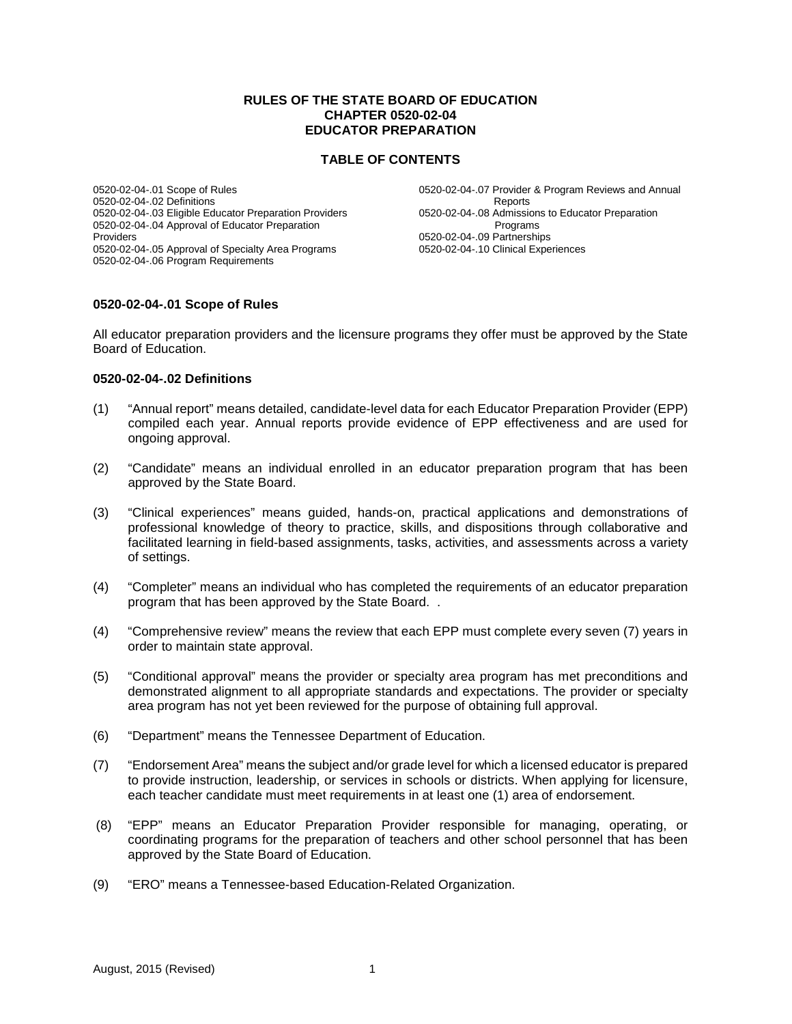#### **RULES OF THE STATE BOARD OF EDUCATION CHAPTER 0520-02-04 EDUCATOR PREPARATION**

#### **TABLE OF CONTENTS**

0520-02-04-.01 Scope of Rules 0520-02-04-.02 Definitions 0520-02-04-.03 Eligible Educator Preparation Providers 0520-02-04-.04 Approval of Educator Preparation Providers 0520-02-04-.05 Approval of Specialty Area Programs 0520-02-04-.06 Program Requirements

0520-02-04-.07 Provider & Program Reviews and Annual Reports 0520-02-04-.08 Admissions to Educator Preparation **Programs** 0520-02-04-.09 Partnerships 0520-02-04-.10 Clinical Experiences

#### **0520-02-04-.01 Scope of Rules**

All educator preparation providers and the licensure programs they offer must be approved by the State Board of Education.

#### **0520-02-04-.02 Definitions**

- (1) "Annual report" means detailed, candidate-level data for each Educator Preparation Provider (EPP) compiled each year. Annual reports provide evidence of EPP effectiveness and are used for ongoing approval.
- (2) "Candidate" means an individual enrolled in an educator preparation program that has been approved by the State Board.
- (3) "Clinical experiences" means guided, hands-on, practical applications and demonstrations of professional knowledge of theory to practice, skills, and dispositions through collaborative and facilitated learning in field-based assignments, tasks, activities, and assessments across a variety of settings.
- (4) "Completer" means an individual who has completed the requirements of an educator preparation program that has been approved by the State Board. .
- (4) "Comprehensive review" means the review that each EPP must complete every seven (7) years in order to maintain state approval.
- (5) "Conditional approval" means the provider or specialty area program has met preconditions and demonstrated alignment to all appropriate standards and expectations. The provider or specialty area program has not yet been reviewed for the purpose of obtaining full approval.
- (6) "Department" means the Tennessee Department of Education.
- (7) "Endorsement Area" means the subject and/or grade level for which a licensed educator is prepared to provide instruction, leadership, or services in schools or districts. When applying for licensure, each teacher candidate must meet requirements in at least one (1) area of endorsement.
- (8) "EPP" means an Educator Preparation Provider responsible for managing, operating, or coordinating programs for the preparation of teachers and other school personnel that has been approved by the State Board of Education.
- (9) "ERO" means a Tennessee-based Education-Related Organization.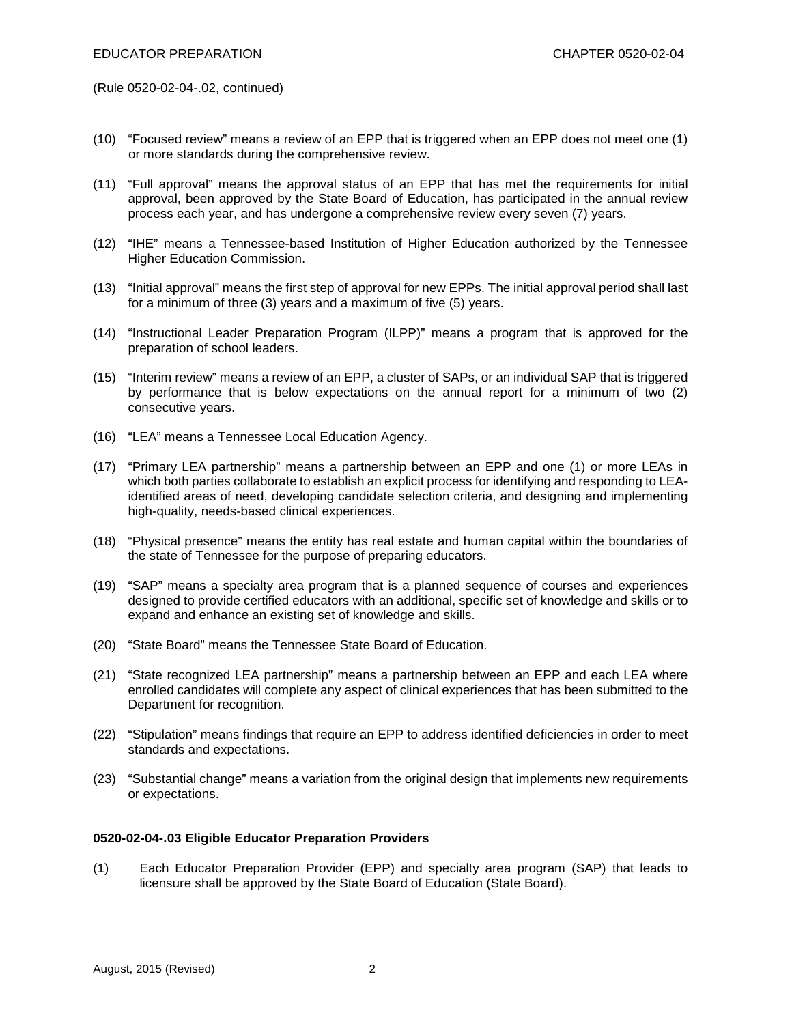(Rule 0520-02-04-.02, continued)

- (10) "Focused review" means a review of an EPP that is triggered when an EPP does not meet one (1) or more standards during the comprehensive review.
- (11) "Full approval" means the approval status of an EPP that has met the requirements for initial approval, been approved by the State Board of Education, has participated in the annual review process each year, and has undergone a comprehensive review every seven (7) years.
- (12) "IHE" means a Tennessee-based Institution of Higher Education authorized by the Tennessee Higher Education Commission.
- (13) "Initial approval" means the first step of approval for new EPPs. The initial approval period shall last for a minimum of three (3) years and a maximum of five (5) years.
- (14) "Instructional Leader Preparation Program (ILPP)" means a program that is approved for the preparation of school leaders.
- (15) "Interim review" means a review of an EPP, a cluster of SAPs, or an individual SAP that is triggered by performance that is below expectations on the annual report for a minimum of two (2) consecutive years.
- (16) "LEA" means a Tennessee Local Education Agency.
- (17) "Primary LEA partnership" means a partnership between an EPP and one (1) or more LEAs in which both parties collaborate to establish an explicit process for identifying and responding to LEAidentified areas of need, developing candidate selection criteria, and designing and implementing high-quality, needs-based clinical experiences.
- (18) "Physical presence" means the entity has real estate and human capital within the boundaries of the state of Tennessee for the purpose of preparing educators.
- (19) "SAP" means a specialty area program that is a planned sequence of courses and experiences designed to provide certified educators with an additional, specific set of knowledge and skills or to expand and enhance an existing set of knowledge and skills.
- (20) "State Board" means the Tennessee State Board of Education.
- (21) "State recognized LEA partnership" means a partnership between an EPP and each LEA where enrolled candidates will complete any aspect of clinical experiences that has been submitted to the Department for recognition.
- (22) "Stipulation" means findings that require an EPP to address identified deficiencies in order to meet standards and expectations.
- (23) "Substantial change" means a variation from the original design that implements new requirements or expectations.

# **0520-02-04-.03 Eligible Educator Preparation Providers**

(1) Each Educator Preparation Provider (EPP) and specialty area program (SAP) that leads to licensure shall be approved by the State Board of Education (State Board).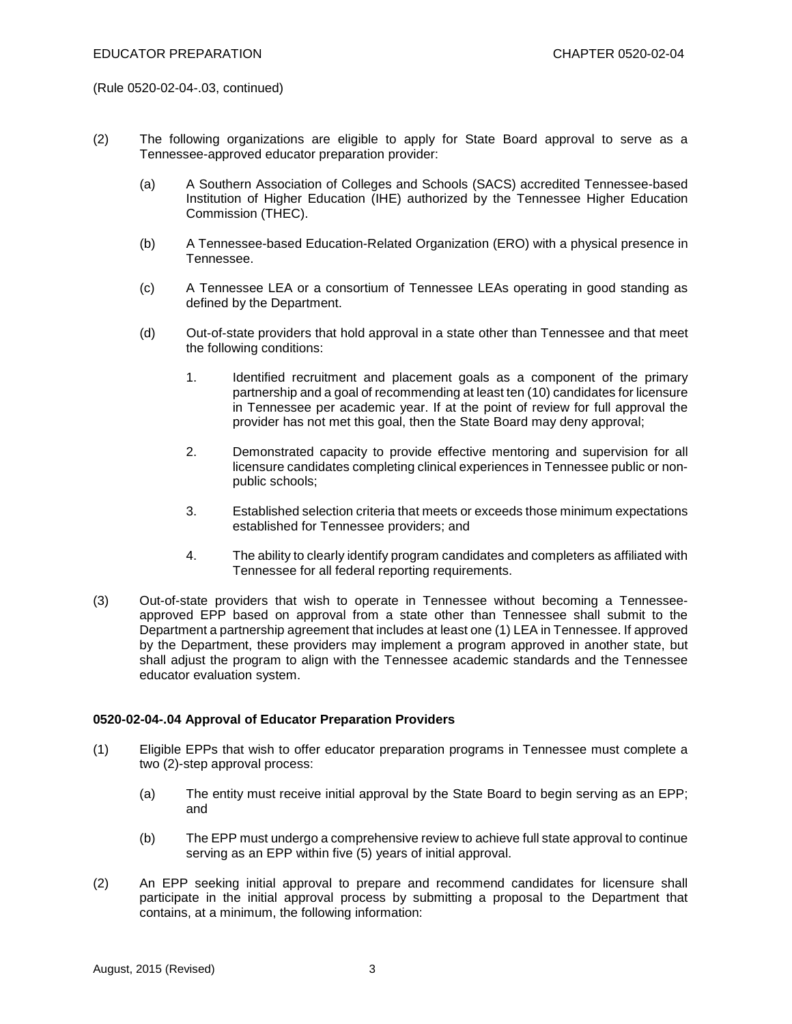(Rule 0520-02-04-.03, continued)

- (2) The following organizations are eligible to apply for State Board approval to serve as a Tennessee-approved educator preparation provider:
	- (a) A Southern Association of Colleges and Schools (SACS) accredited Tennessee-based Institution of Higher Education (IHE) authorized by the Tennessee Higher Education Commission (THEC).
	- (b) A Tennessee-based Education-Related Organization (ERO) with a physical presence in Tennessee.
	- (c) A Tennessee LEA or a consortium of Tennessee LEAs operating in good standing as defined by the Department.
	- (d) Out-of-state providers that hold approval in a state other than Tennessee and that meet the following conditions:
		- 1. Identified recruitment and placement goals as a component of the primary partnership and a goal of recommending at least ten (10) candidates for licensure in Tennessee per academic year. If at the point of review for full approval the provider has not met this goal, then the State Board may deny approval;
		- 2. Demonstrated capacity to provide effective mentoring and supervision for all licensure candidates completing clinical experiences in Tennessee public or nonpublic schools;
		- 3. Established selection criteria that meets or exceeds those minimum expectations established for Tennessee providers; and
		- 4. The ability to clearly identify program candidates and completers as affiliated with Tennessee for all federal reporting requirements.
- (3) Out-of-state providers that wish to operate in Tennessee without becoming a Tennesseeapproved EPP based on approval from a state other than Tennessee shall submit to the Department a partnership agreement that includes at least one (1) LEA in Tennessee. If approved by the Department, these providers may implement a program approved in another state, but shall adjust the program to align with the Tennessee academic standards and the Tennessee educator evaluation system.

# **0520-02-04-.04 Approval of Educator Preparation Providers**

- (1) Eligible EPPs that wish to offer educator preparation programs in Tennessee must complete a two (2)-step approval process:
	- (a) The entity must receive initial approval by the State Board to begin serving as an EPP; and
	- (b) The EPP must undergo a comprehensive review to achieve full state approval to continue serving as an EPP within five (5) years of initial approval.
- (2) An EPP seeking initial approval to prepare and recommend candidates for licensure shall participate in the initial approval process by submitting a proposal to the Department that contains, at a minimum, the following information: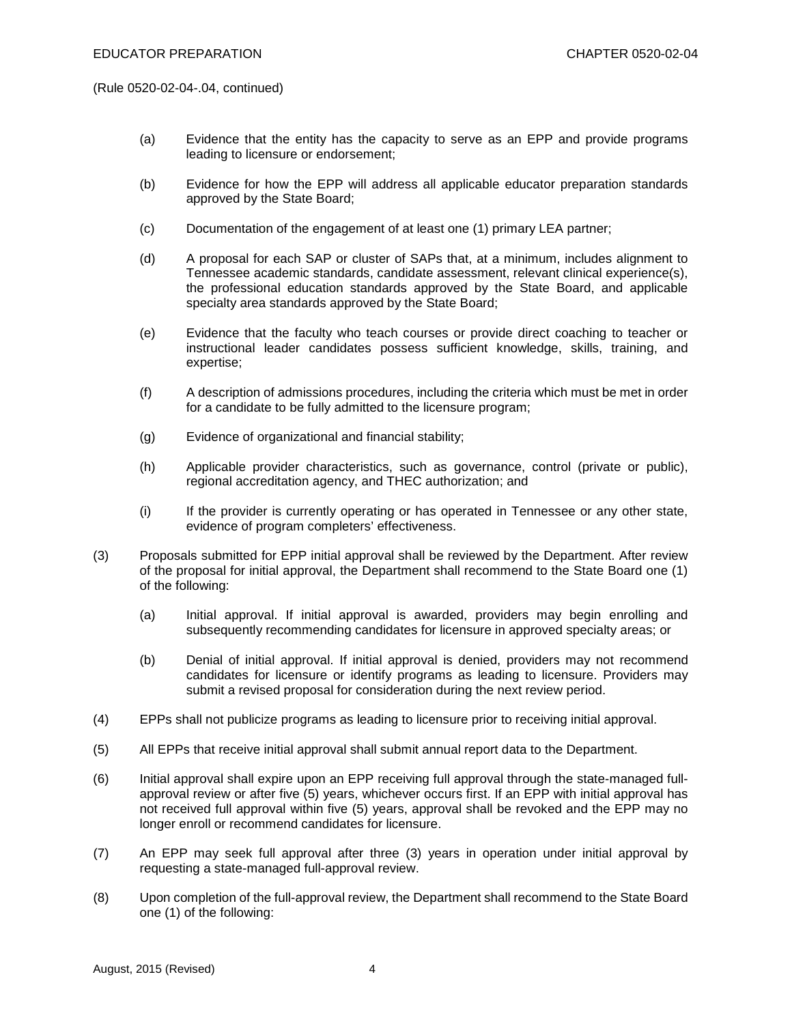(Rule 0520-02-04-.04, continued)

- (a) Evidence that the entity has the capacity to serve as an EPP and provide programs leading to licensure or endorsement;
- (b) Evidence for how the EPP will address all applicable educator preparation standards approved by the State Board;
- (c) Documentation of the engagement of at least one (1) primary LEA partner;
- (d) A proposal for each SAP or cluster of SAPs that, at a minimum, includes alignment to Tennessee academic standards, candidate assessment, relevant clinical experience(s), the professional education standards approved by the State Board, and applicable specialty area standards approved by the State Board;
- (e) Evidence that the faculty who teach courses or provide direct coaching to teacher or instructional leader candidates possess sufficient knowledge, skills, training, and expertise;
- (f) A description of admissions procedures, including the criteria which must be met in order for a candidate to be fully admitted to the licensure program;
- (g) Evidence of organizational and financial stability;
- (h) Applicable provider characteristics, such as governance, control (private or public), regional accreditation agency, and THEC authorization; and
- (i) If the provider is currently operating or has operated in Tennessee or any other state, evidence of program completers' effectiveness.
- (3) Proposals submitted for EPP initial approval shall be reviewed by the Department. After review of the proposal for initial approval, the Department shall recommend to the State Board one (1) of the following:
	- (a) Initial approval. If initial approval is awarded, providers may begin enrolling and subsequently recommending candidates for licensure in approved specialty areas; or
	- (b) Denial of initial approval. If initial approval is denied, providers may not recommend candidates for licensure or identify programs as leading to licensure. Providers may submit a revised proposal for consideration during the next review period.
- (4) EPPs shall not publicize programs as leading to licensure prior to receiving initial approval.
- (5) All EPPs that receive initial approval shall submit annual report data to the Department.
- (6) Initial approval shall expire upon an EPP receiving full approval through the state-managed fullapproval review or after five (5) years, whichever occurs first. If an EPP with initial approval has not received full approval within five (5) years, approval shall be revoked and the EPP may no longer enroll or recommend candidates for licensure.
- (7) An EPP may seek full approval after three (3) years in operation under initial approval by requesting a state-managed full-approval review.
- (8) Upon completion of the full-approval review, the Department shall recommend to the State Board one (1) of the following: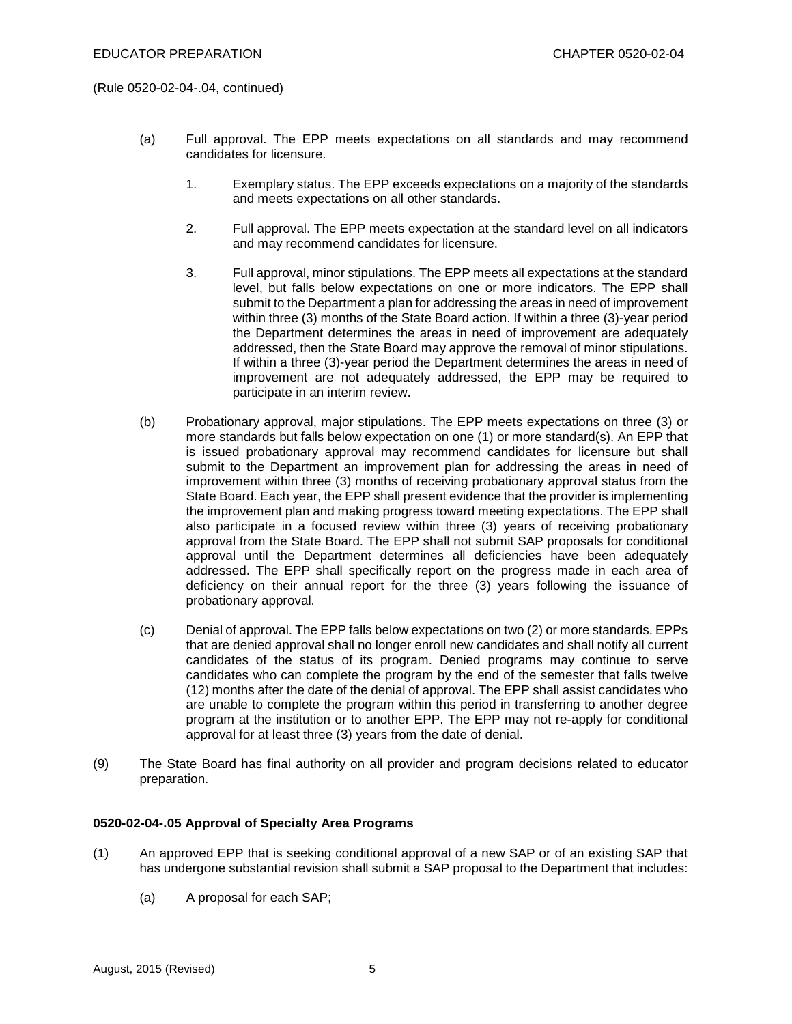(Rule 0520-02-04-.04, continued)

- (a) Full approval. The EPP meets expectations on all standards and may recommend candidates for licensure.
	- 1. Exemplary status. The EPP exceeds expectations on a majority of the standards and meets expectations on all other standards.
	- 2. Full approval. The EPP meets expectation at the standard level on all indicators and may recommend candidates for licensure.
	- 3. Full approval, minor stipulations. The EPP meets all expectations at the standard level, but falls below expectations on one or more indicators. The EPP shall submit to the Department a plan for addressing the areas in need of improvement within three (3) months of the State Board action. If within a three (3)-year period the Department determines the areas in need of improvement are adequately addressed, then the State Board may approve the removal of minor stipulations. If within a three (3)-year period the Department determines the areas in need of improvement are not adequately addressed, the EPP may be required to participate in an interim review.
- (b) Probationary approval, major stipulations. The EPP meets expectations on three (3) or more standards but falls below expectation on one (1) or more standard(s). An EPP that is issued probationary approval may recommend candidates for licensure but shall submit to the Department an improvement plan for addressing the areas in need of improvement within three (3) months of receiving probationary approval status from the State Board. Each year, the EPP shall present evidence that the provider is implementing the improvement plan and making progress toward meeting expectations. The EPP shall also participate in a focused review within three (3) years of receiving probationary approval from the State Board. The EPP shall not submit SAP proposals for conditional approval until the Department determines all deficiencies have been adequately addressed. The EPP shall specifically report on the progress made in each area of deficiency on their annual report for the three (3) years following the issuance of probationary approval.
- (c) Denial of approval. The EPP falls below expectations on two (2) or more standards. EPPs that are denied approval shall no longer enroll new candidates and shall notify all current candidates of the status of its program. Denied programs may continue to serve candidates who can complete the program by the end of the semester that falls twelve (12) months after the date of the denial of approval. The EPP shall assist candidates who are unable to complete the program within this period in transferring to another degree program at the institution or to another EPP. The EPP may not re-apply for conditional approval for at least three (3) years from the date of denial.
- (9) The State Board has final authority on all provider and program decisions related to educator preparation.

# **0520-02-04-.05 Approval of Specialty Area Programs**

- (1) An approved EPP that is seeking conditional approval of a new SAP or of an existing SAP that has undergone substantial revision shall submit a SAP proposal to the Department that includes:
	- (a) A proposal for each SAP;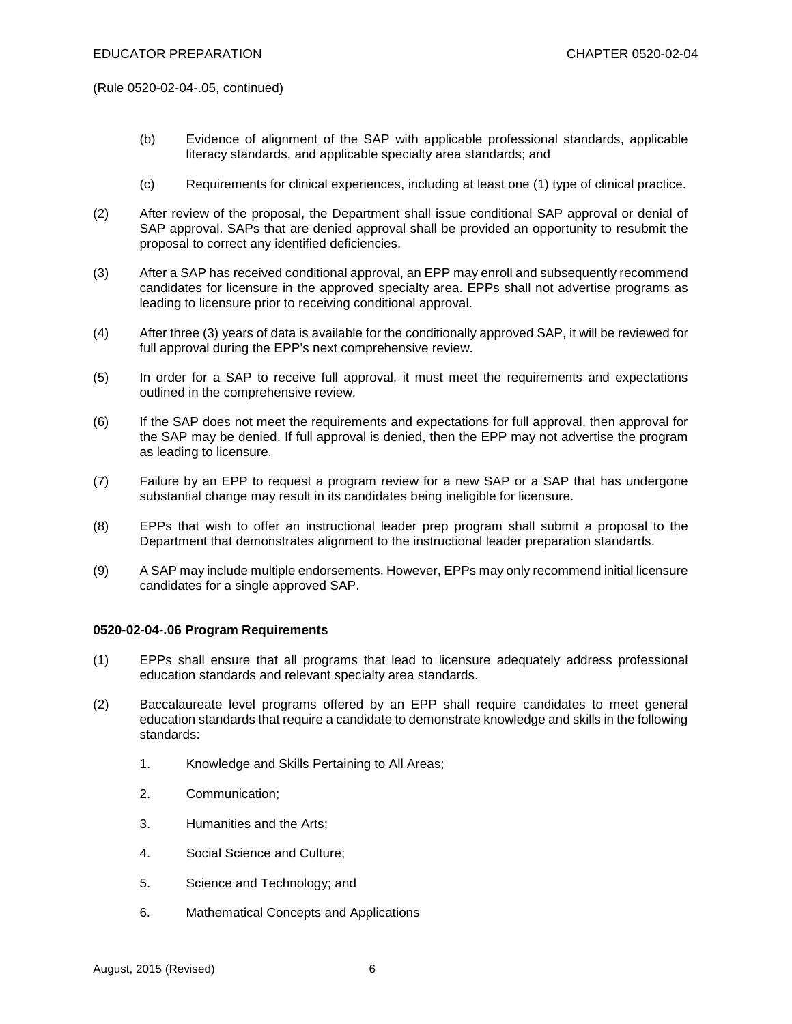(Rule 0520-02-04-.05, continued)

- (b) Evidence of alignment of the SAP with applicable professional standards, applicable literacy standards, and applicable specialty area standards; and
- (c) Requirements for clinical experiences, including at least one (1) type of clinical practice.
- (2) After review of the proposal, the Department shall issue conditional SAP approval or denial of SAP approval. SAPs that are denied approval shall be provided an opportunity to resubmit the proposal to correct any identified deficiencies.
- (3) After a SAP has received conditional approval, an EPP may enroll and subsequently recommend candidates for licensure in the approved specialty area. EPPs shall not advertise programs as leading to licensure prior to receiving conditional approval.
- (4) After three (3) years of data is available for the conditionally approved SAP, it will be reviewed for full approval during the EPP's next comprehensive review.
- (5) In order for a SAP to receive full approval, it must meet the requirements and expectations outlined in the comprehensive review.
- (6) If the SAP does not meet the requirements and expectations for full approval, then approval for the SAP may be denied. If full approval is denied, then the EPP may not advertise the program as leading to licensure.
- (7) Failure by an EPP to request a program review for a new SAP or a SAP that has undergone substantial change may result in its candidates being ineligible for licensure.
- (8) EPPs that wish to offer an instructional leader prep program shall submit a proposal to the Department that demonstrates alignment to the instructional leader preparation standards.
- (9) A SAP may include multiple endorsements. However, EPPs may only recommend initial licensure candidates for a single approved SAP.

# **0520-02-04-.06 Program Requirements**

- (1) EPPs shall ensure that all programs that lead to licensure adequately address professional education standards and relevant specialty area standards.
- (2) Baccalaureate level programs offered by an EPP shall require candidates to meet general education standards that require a candidate to demonstrate knowledge and skills in the following standards:
	- 1. Knowledge and Skills Pertaining to All Areas;
	- 2. Communication;
	- 3. Humanities and the Arts;
	- 4. Social Science and Culture;
	- 5. Science and Technology; and
	- 6. Mathematical Concepts and Applications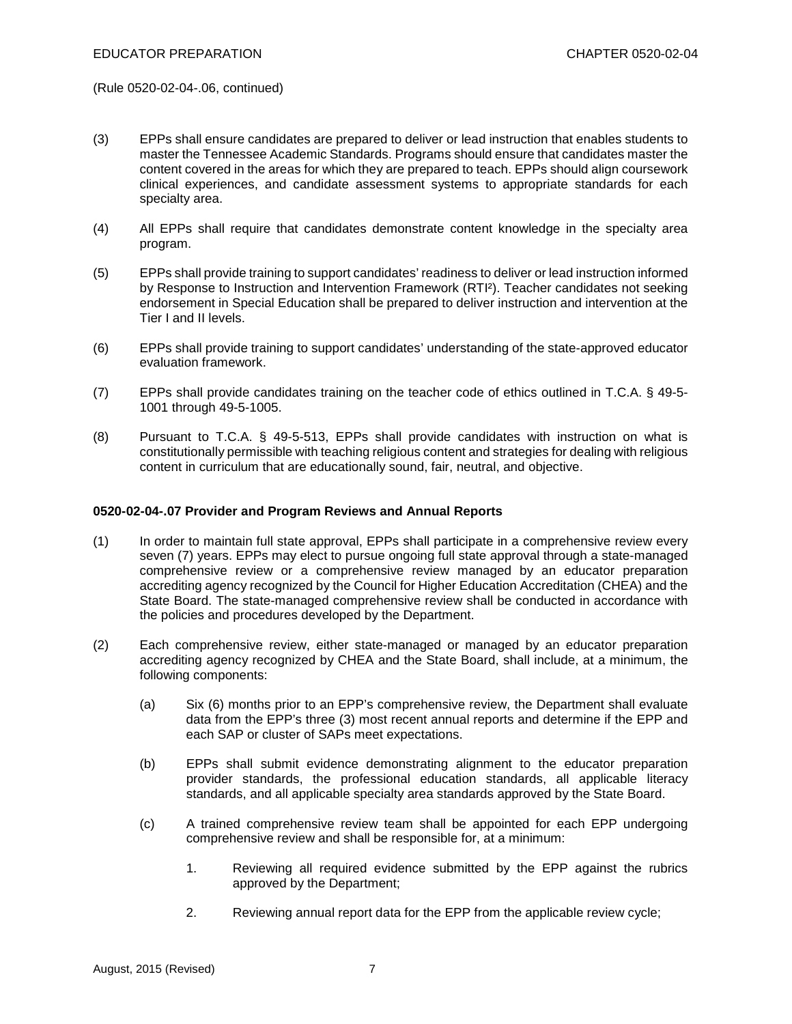(Rule 0520-02-04-.06, continued)

- (3) EPPs shall ensure candidates are prepared to deliver or lead instruction that enables students to master the Tennessee Academic Standards. Programs should ensure that candidates master the content covered in the areas for which they are prepared to teach. EPPs should align coursework clinical experiences, and candidate assessment systems to appropriate standards for each specialty area.
- (4) All EPPs shall require that candidates demonstrate content knowledge in the specialty area program.
- (5) EPPs shall provide training to support candidates' readiness to deliver or lead instruction informed by Response to Instruction and Intervention Framework (RTI²). Teacher candidates not seeking endorsement in Special Education shall be prepared to deliver instruction and intervention at the Tier I and II levels.
- (6) EPPs shall provide training to support candidates' understanding of the state-approved educator evaluation framework.
- (7) EPPs shall provide candidates training on the teacher code of ethics outlined in T.C.A. § 49-5- 1001 through 49-5-1005.
- (8) Pursuant to T.C.A. § 49-5-513, EPPs shall provide candidates with instruction on what is constitutionally permissible with teaching religious content and strategies for dealing with religious content in curriculum that are educationally sound, fair, neutral, and objective.

#### **0520-02-04-.07 Provider and Program Reviews and Annual Reports**

- (1) In order to maintain full state approval, EPPs shall participate in a comprehensive review every seven (7) years. EPPs may elect to pursue ongoing full state approval through a state-managed comprehensive review or a comprehensive review managed by an educator preparation accrediting agency recognized by the Council for Higher Education Accreditation (CHEA) and the State Board. The state-managed comprehensive review shall be conducted in accordance with the policies and procedures developed by the Department.
- (2) Each comprehensive review, either state-managed or managed by an educator preparation accrediting agency recognized by CHEA and the State Board, shall include, at a minimum, the following components:
	- (a) Six (6) months prior to an EPP's comprehensive review, the Department shall evaluate data from the EPP's three (3) most recent annual reports and determine if the EPP and each SAP or cluster of SAPs meet expectations.
	- (b) EPPs shall submit evidence demonstrating alignment to the educator preparation provider standards, the professional education standards, all applicable literacy standards, and all applicable specialty area standards approved by the State Board.
	- (c) A trained comprehensive review team shall be appointed for each EPP undergoing comprehensive review and shall be responsible for, at a minimum:
		- 1. Reviewing all required evidence submitted by the EPP against the rubrics approved by the Department;
		- 2. Reviewing annual report data for the EPP from the applicable review cycle;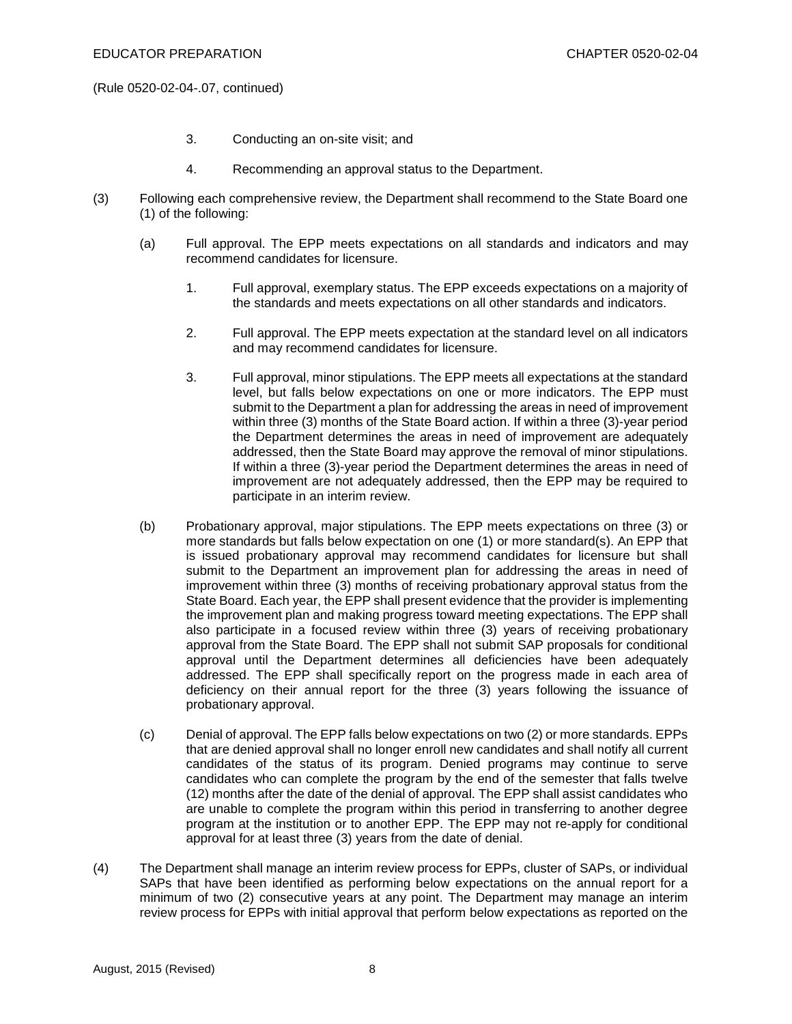(Rule 0520-02-04-.07, continued)

- 3. Conducting an on-site visit; and
- 4. Recommending an approval status to the Department.
- (3) Following each comprehensive review, the Department shall recommend to the State Board one (1) of the following:
	- (a) Full approval. The EPP meets expectations on all standards and indicators and may recommend candidates for licensure.
		- 1. Full approval, exemplary status. The EPP exceeds expectations on a majority of the standards and meets expectations on all other standards and indicators.
		- 2. Full approval. The EPP meets expectation at the standard level on all indicators and may recommend candidates for licensure.
		- 3. Full approval, minor stipulations. The EPP meets all expectations at the standard level, but falls below expectations on one or more indicators. The EPP must submit to the Department a plan for addressing the areas in need of improvement within three (3) months of the State Board action. If within a three (3)-year period the Department determines the areas in need of improvement are adequately addressed, then the State Board may approve the removal of minor stipulations. If within a three (3)-year period the Department determines the areas in need of improvement are not adequately addressed, then the EPP may be required to participate in an interim review.
	- (b) Probationary approval, major stipulations. The EPP meets expectations on three (3) or more standards but falls below expectation on one (1) or more standard(s). An EPP that is issued probationary approval may recommend candidates for licensure but shall submit to the Department an improvement plan for addressing the areas in need of improvement within three (3) months of receiving probationary approval status from the State Board. Each year, the EPP shall present evidence that the provider is implementing the improvement plan and making progress toward meeting expectations. The EPP shall also participate in a focused review within three (3) years of receiving probationary approval from the State Board. The EPP shall not submit SAP proposals for conditional approval until the Department determines all deficiencies have been adequately addressed. The EPP shall specifically report on the progress made in each area of deficiency on their annual report for the three (3) years following the issuance of probationary approval.
	- (c) Denial of approval. The EPP falls below expectations on two (2) or more standards. EPPs that are denied approval shall no longer enroll new candidates and shall notify all current candidates of the status of its program. Denied programs may continue to serve candidates who can complete the program by the end of the semester that falls twelve (12) months after the date of the denial of approval. The EPP shall assist candidates who are unable to complete the program within this period in transferring to another degree program at the institution or to another EPP. The EPP may not re-apply for conditional approval for at least three (3) years from the date of denial.
- (4) The Department shall manage an interim review process for EPPs, cluster of SAPs, or individual SAPs that have been identified as performing below expectations on the annual report for a minimum of two (2) consecutive years at any point. The Department may manage an interim review process for EPPs with initial approval that perform below expectations as reported on the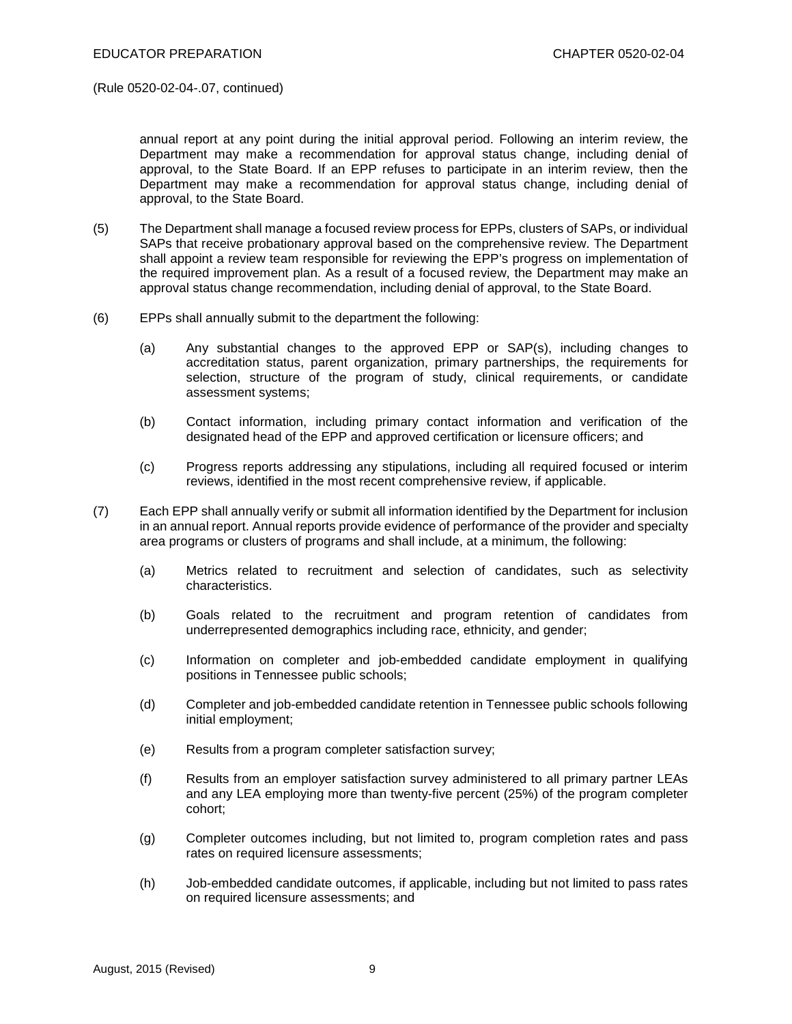(Rule 0520-02-04-.07, continued)

annual report at any point during the initial approval period. Following an interim review, the Department may make a recommendation for approval status change, including denial of approval, to the State Board. If an EPP refuses to participate in an interim review, then the Department may make a recommendation for approval status change, including denial of approval, to the State Board.

- (5) The Department shall manage a focused review process for EPPs, clusters of SAPs, or individual SAPs that receive probationary approval based on the comprehensive review. The Department shall appoint a review team responsible for reviewing the EPP's progress on implementation of the required improvement plan. As a result of a focused review, the Department may make an approval status change recommendation, including denial of approval, to the State Board.
- (6) EPPs shall annually submit to the department the following:
	- (a) Any substantial changes to the approved EPP or SAP(s), including changes to accreditation status, parent organization, primary partnerships, the requirements for selection, structure of the program of study, clinical requirements, or candidate assessment systems;
	- (b) Contact information, including primary contact information and verification of the designated head of the EPP and approved certification or licensure officers; and
	- (c) Progress reports addressing any stipulations, including all required focused or interim reviews, identified in the most recent comprehensive review, if applicable.
- (7) Each EPP shall annually verify or submit all information identified by the Department for inclusion in an annual report. Annual reports provide evidence of performance of the provider and specialty area programs or clusters of programs and shall include, at a minimum, the following:
	- (a) Metrics related to recruitment and selection of candidates, such as selectivity characteristics.
	- (b) Goals related to the recruitment and program retention of candidates from underrepresented demographics including race, ethnicity, and gender;
	- (c) Information on completer and job-embedded candidate employment in qualifying positions in Tennessee public schools;
	- (d) Completer and job-embedded candidate retention in Tennessee public schools following initial employment;
	- (e) Results from a program completer satisfaction survey;
	- (f) Results from an employer satisfaction survey administered to all primary partner LEAs and any LEA employing more than twenty-five percent (25%) of the program completer cohort;
	- (g) Completer outcomes including, but not limited to, program completion rates and pass rates on required licensure assessments;
	- (h) Job-embedded candidate outcomes, if applicable, including but not limited to pass rates on required licensure assessments; and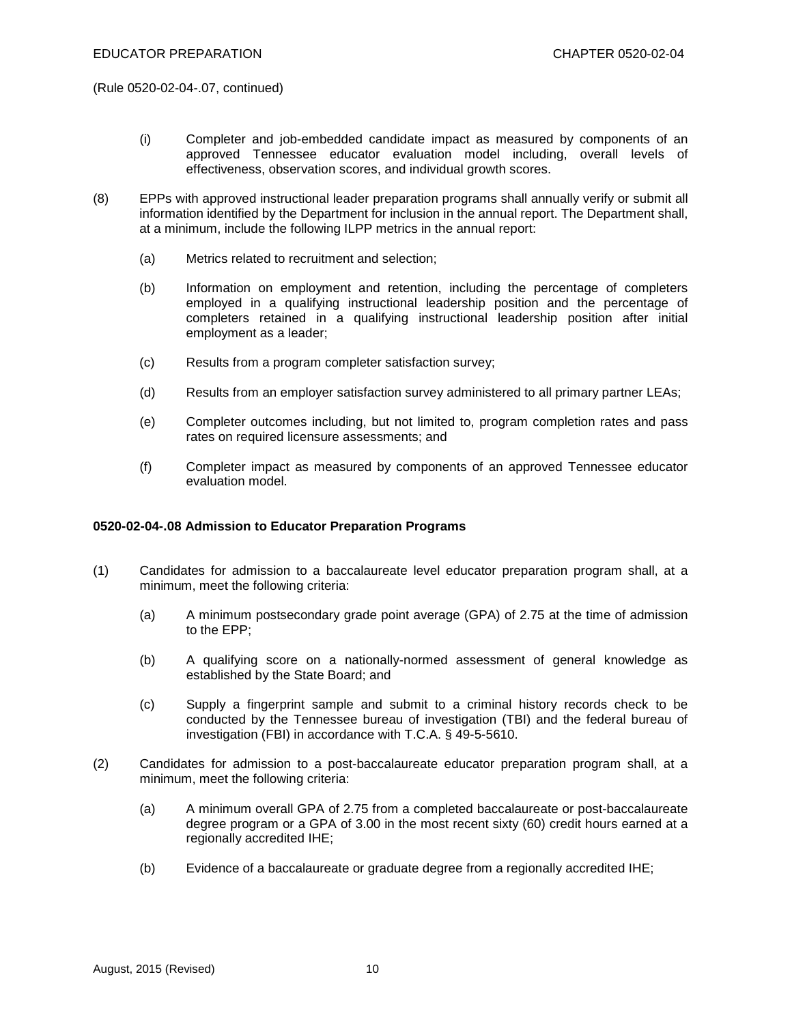(Rule 0520-02-04-.07, continued)

- (i) Completer and job-embedded candidate impact as measured by components of an approved Tennessee educator evaluation model including, overall levels of effectiveness, observation scores, and individual growth scores.
- (8) EPPs with approved instructional leader preparation programs shall annually verify or submit all information identified by the Department for inclusion in the annual report. The Department shall, at a minimum, include the following ILPP metrics in the annual report:
	- (a) Metrics related to recruitment and selection;
	- (b) Information on employment and retention, including the percentage of completers employed in a qualifying instructional leadership position and the percentage of completers retained in a qualifying instructional leadership position after initial employment as a leader;
	- (c) Results from a program completer satisfaction survey;
	- (d) Results from an employer satisfaction survey administered to all primary partner LEAs;
	- (e) Completer outcomes including, but not limited to, program completion rates and pass rates on required licensure assessments; and
	- (f) Completer impact as measured by components of an approved Tennessee educator evaluation model.

# **0520-02-04-.08 Admission to Educator Preparation Programs**

- (1) Candidates for admission to a baccalaureate level educator preparation program shall, at a minimum, meet the following criteria:
	- (a) A minimum postsecondary grade point average (GPA) of 2.75 at the time of admission to the EPP;
	- (b) A qualifying score on a nationally-normed assessment of general knowledge as established by the State Board; and
	- (c) Supply a fingerprint sample and submit to a criminal history records check to be conducted by the Tennessee bureau of investigation (TBI) and the federal bureau of investigation (FBI) in accordance with T.C.A. § 49-5-5610.
- (2) Candidates for admission to a post-baccalaureate educator preparation program shall, at a minimum, meet the following criteria:
	- (a) A minimum overall GPA of 2.75 from a completed baccalaureate or post-baccalaureate degree program or a GPA of 3.00 in the most recent sixty (60) credit hours earned at a regionally accredited IHE;
	- (b) Evidence of a baccalaureate or graduate degree from a regionally accredited IHE;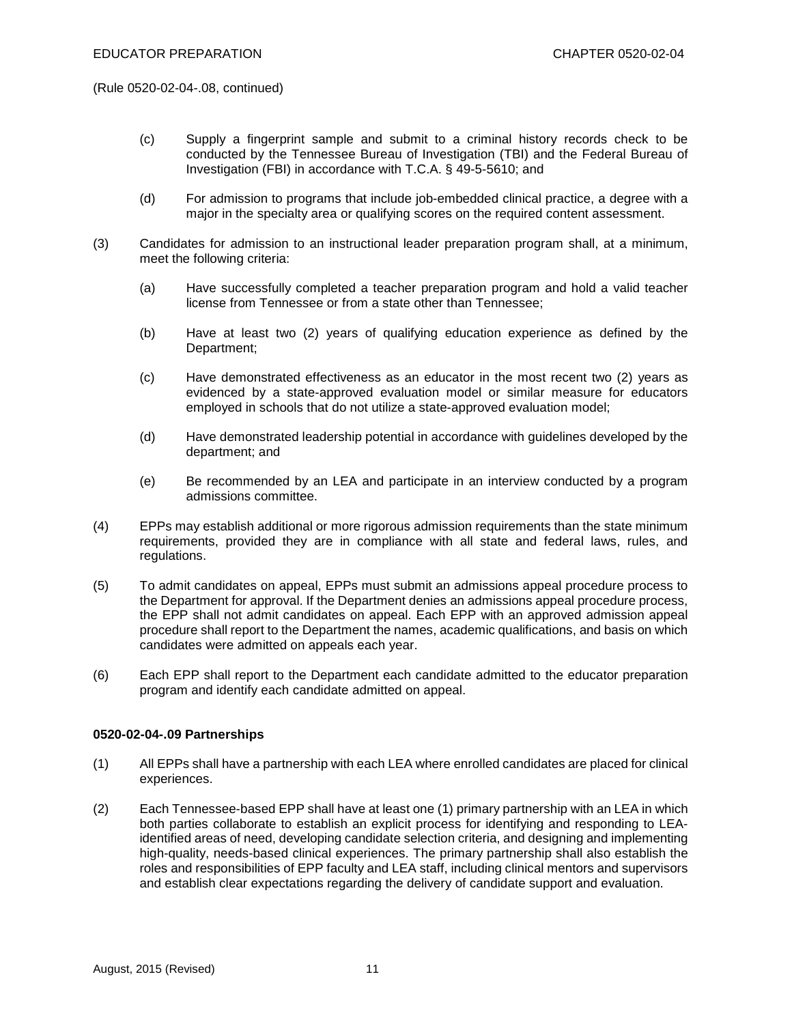(Rule 0520-02-04-.08, continued)

- (c) Supply a fingerprint sample and submit to a criminal history records check to be conducted by the Tennessee Bureau of Investigation (TBI) and the Federal Bureau of Investigation (FBI) in accordance with T.C.A. § 49-5-5610; and
- (d) For admission to programs that include job-embedded clinical practice, a degree with a major in the specialty area or qualifying scores on the required content assessment.
- (3) Candidates for admission to an instructional leader preparation program shall, at a minimum, meet the following criteria:
	- (a) Have successfully completed a teacher preparation program and hold a valid teacher license from Tennessee or from a state other than Tennessee;
	- (b) Have at least two (2) years of qualifying education experience as defined by the Department;
	- (c) Have demonstrated effectiveness as an educator in the most recent two (2) years as evidenced by a state-approved evaluation model or similar measure for educators employed in schools that do not utilize a state-approved evaluation model;
	- (d) Have demonstrated leadership potential in accordance with guidelines developed by the department; and
	- (e) Be recommended by an LEA and participate in an interview conducted by a program admissions committee.
- (4) EPPs may establish additional or more rigorous admission requirements than the state minimum requirements, provided they are in compliance with all state and federal laws, rules, and regulations.
- (5) To admit candidates on appeal, EPPs must submit an admissions appeal procedure process to the Department for approval. If the Department denies an admissions appeal procedure process, the EPP shall not admit candidates on appeal. Each EPP with an approved admission appeal procedure shall report to the Department the names, academic qualifications, and basis on which candidates were admitted on appeals each year.
- (6) Each EPP shall report to the Department each candidate admitted to the educator preparation program and identify each candidate admitted on appeal.

# **0520-02-04-.09 Partnerships**

- (1) All EPPs shall have a partnership with each LEA where enrolled candidates are placed for clinical experiences.
- (2) Each Tennessee-based EPP shall have at least one (1) primary partnership with an LEA in which both parties collaborate to establish an explicit process for identifying and responding to LEAidentified areas of need, developing candidate selection criteria, and designing and implementing high-quality, needs-based clinical experiences. The primary partnership shall also establish the roles and responsibilities of EPP faculty and LEA staff, including clinical mentors and supervisors and establish clear expectations regarding the delivery of candidate support and evaluation.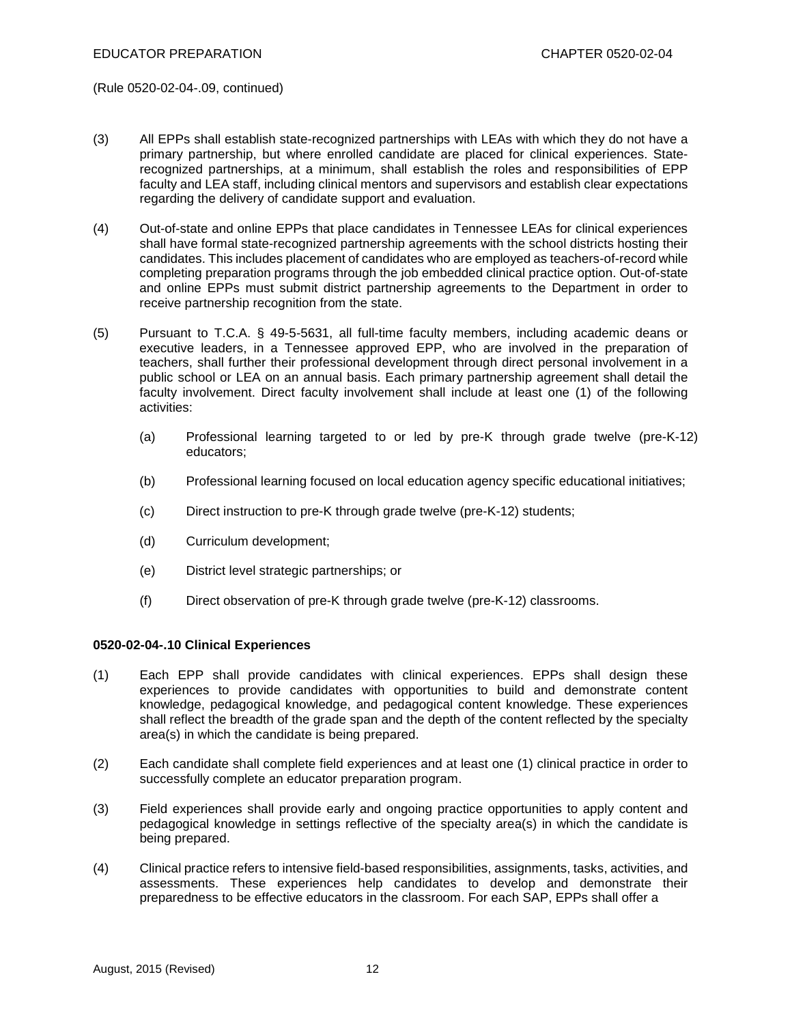(Rule 0520-02-04-.09, continued)

- (3) All EPPs shall establish state-recognized partnerships with LEAs with which they do not have a primary partnership, but where enrolled candidate are placed for clinical experiences. Staterecognized partnerships, at a minimum, shall establish the roles and responsibilities of EPP faculty and LEA staff, including clinical mentors and supervisors and establish clear expectations regarding the delivery of candidate support and evaluation.
- (4) Out-of-state and online EPPs that place candidates in Tennessee LEAs for clinical experiences shall have formal state-recognized partnership agreements with the school districts hosting their candidates. This includes placement of candidates who are employed as teachers-of-record while completing preparation programs through the job embedded clinical practice option. Out-of-state and online EPPs must submit district partnership agreements to the Department in order to receive partnership recognition from the state.
- (5) Pursuant to T.C.A. § 49-5-5631, all full-time faculty members, including academic deans or executive leaders, in a Tennessee approved EPP, who are involved in the preparation of teachers, shall further their professional development through direct personal involvement in a public school or LEA on an annual basis. Each primary partnership agreement shall detail the faculty involvement. Direct faculty involvement shall include at least one (1) of the following activities:
	- (a) Professional learning targeted to or led by pre-K through grade twelve (pre-K-12) educators;
	- (b) Professional learning focused on local education agency specific educational initiatives;
	- (c) Direct instruction to pre-K through grade twelve (pre-K-12) students;
	- (d) Curriculum development;
	- (e) District level strategic partnerships; or
	- (f) Direct observation of pre-K through grade twelve (pre-K-12) classrooms.

#### **0520-02-04-.10 Clinical Experiences**

- (1) Each EPP shall provide candidates with clinical experiences. EPPs shall design these experiences to provide candidates with opportunities to build and demonstrate content knowledge, pedagogical knowledge, and pedagogical content knowledge. These experiences shall reflect the breadth of the grade span and the depth of the content reflected by the specialty area(s) in which the candidate is being prepared.
- (2) Each candidate shall complete field experiences and at least one (1) clinical practice in order to successfully complete an educator preparation program.
- (3) Field experiences shall provide early and ongoing practice opportunities to apply content and pedagogical knowledge in settings reflective of the specialty area(s) in which the candidate is being prepared.
- (4) Clinical practice refers to intensive field-based responsibilities, assignments, tasks, activities, and assessments. These experiences help candidates to develop and demonstrate their preparedness to be effective educators in the classroom. For each SAP, EPPs shall offer a